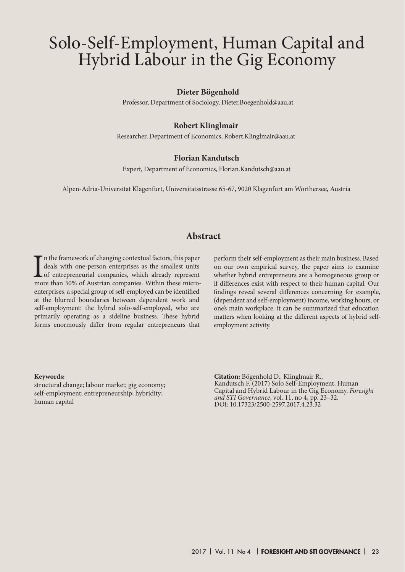#### **Dieter Bögenhold**

Professor, Department of Sociology, Dieter.Boegenhold@aau.at

#### **Robert Klinglmair**

Researcher, Department of Economics, Robert.Klinglmair@aau.at

#### **Florian Kandutsch**

Expert, Department of Economics, Florian.Kandutsch@aau.at

Alpen-Adria-Universitat Klagenfurt, Universitatsstrasse 65-67, 9020 Klagenfurt am Worthersee, Austria

# **Abstract**

 $\prod$ n the framework of changing contextual factors, this paper deals with one-person enterprises as the smallest units of entrepreneurial companies, which already represent more than 50% of Austrian companies. Within thes If n the framework of changing contextual factors, this paper deals with one-person enterprises as the smallest units of entrepreneurial companies, which already represent enterprises, a special group of self-employed can be identified at the blurred boundaries between dependent work and self-employment: the hybrid solo-self-employed, who are primarily operating as a sideline business. These hybrid forms enormously differ from regular entrepreneurs that

perform their self-employment as their main business. Based on our own empirical survey, the paper aims to examine whether hybrid entrepreneurs are a homogeneous group or if differences exist with respect to their human capital. Our findings reveal several differences concerning for example, (dependent and self-employment) income, working hours, or one's main workplace. it can be summarized that education matters when looking at the different aspects of hybrid selfemployment activity. Solo-Self-Employment, Human Capital and<br>
Hybrid Labour in the Gig Economy<br>
Distribution Dynamical Schools (Exceptional Schools and Evaluation Control of Exceptional Schools (Exceptional Schools (Exceptional Schools (Excep

#### **Keywords:**

structural change; labour market; gig economy; self-employment; entrepreneurship; hybridity; human capital

**Citation:** Bögenhold D., Klinglmair R., Kandutsch F. (2017) Solo Self-Employment, Human Capital and Hybrid Labour in the Gig Economy. *Foresight and STI Governance*, vol. 11, no 4, pp. 23–32. DOI: 10.17323/2500-2597.2017.4.23.32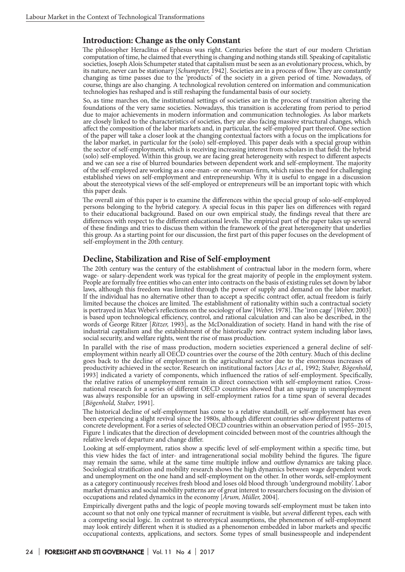# **Introduction: Change as the only Constant**

The philosopher Heraclitus of Ephesus was right. Centuries before the start of our modern Christian computation of time, he claimed that everything is changing and nothing stands still. Speaking of capitalistic societies, Joseph Alois Schumpeter stated that capitalism must be seen as an evolutionary process, which, by its nature, never can be stationary [*Schumpeter,* 1942]. Societies are in a process of flow. They are constantly changing as time passes due to the 'products' of the society in a given period of time. Nowadays, of course, things are also changing. A technological revolution centered on information and communication technologies has reshaped and is still reshaping the fundamental basis of our society.

So, as time marches on, the institutional settings of societies are in the process of transition altering the foundations of the very same societies. Nowadays, this transition is accelerating from period to period due to major achievements in modern information and communication technologies. As labor markets are closely linked to the characteristics of societies, they are also facing massive structural changes, which affect the composition of the labor markets and, in particular, the self-employed part thereof. One section of the paper will take a closer look at the changing contextual factors with a focus on the implications for the labor market, in particular for the (solo) self-employed. This paper deals with a special group within the sector of self-employment, which is receiving increasing interest from scholars in that field: the hybrid (solo) self-employed. Within this group, we are facing great heterogeneity with respect to different aspects and we can see a rise of blurred boundaries between dependent work and self-employment. The majority of the self-employed are working as a one-man- or one-woman-firm, which raises the need for challenging established views on self-employment and entrepreneurship. Why it is useful to engage in a discussion about the stereotypical views of the self-employed or entrepreneurs will be an important topic with which this paper deals.

The overall aim of this paper is to examine the differences within the special group of solo-self-employed persons belonging to the hybrid category. A special focus in this paper lies on differences with regard to their educational background. Based on our own empirical study, the findings reveal that there are differences with respect to the different educational levels. The empirical part of the paper takes up several of these findings and tries to discuss them within the framework of the great heterogeneity that underlies this group. As a starting point for our discussion, the first part of this paper focuses on the development of self-employment in the 20th century.

#### **Decline, Stabilization and Rise of Self-employment**

The 20th century was the century of the establishment of contractual labor in the modern form, where wage- or salary-dependent work was typical for the great majority of people in the employment system. People are formally free entities who can enter into contracts on the basis of existing rules set down by labor laws, although this freedom was limited through the power of supply and demand on the labor market. If the individual has no alternative other than to accept a specific contract offer, actual freedom is fairly limited because the choices are limited. The establishment of rationality within such a contractual society is portrayed in Max Weber's reflections on the sociology of law [*Weber,* 1978]. The 'iron cage' [*Weber,* 2003] is based upon technological efficiency, control, and rational calculation and can also be described, in the words of George Ritzer [*Ritzer,* 1993], as the McDonaldization of society. Hand in hand with the rise of industrial capitalism and the establishment of the historically new contract system including labor laws, social security, and welfare rights, went the rise of mass production.

In parallel with the rise of mass production, modern societies experienced a general decline of selfemployment within nearly all OECD countries over the course of the 20th century. Much of this decline goes back to the decline of employment in the agricultural sector due to the enormous increases of productivity achieved in the sector. Research on institutional factors [*Acs et al.,* 1992; *Staber, Bögenhold*, 1993] indicated a variety of components, which influenced the ratios of self-employment. Specifically, the relative ratios of unemployment remain in direct connection with self-employment ratios. Crossnational research for a series of different OECD countries showed that an upsurge in unemployment was always responsible for an upswing in self-employment ratios for a time span of several decades [*Bögenhold, Staber,* 1991].

The historical decline of self-employment has come to a relative standstill, or self-employment has even been experiencing a slight revival since the 1980s, although different countries show different patterns of concrete development. For a series of selected OECD countries within an observation period of 1955–2015, Figure 1 indicates that the direction of development coincided between most of the countries although the relative levels of departure and change differ.

Looking at self-employment, ratios show a specific level of self-employment within a specific time, but this view hides the fact of inter- and intragenerational social mobility behind the figures. The figure may remain the same, while at the same time multiple inflow and outflow dynamics are taking place. Sociological stratification and mobility research shows the high dynamics between wage dependent work and unemployment on the one hand and self-employment on the other. In other words, self-employment as a category continuously receives fresh blood and loses old blood through 'underground mobility'. Labor market dynamics and social mobility patterns are of great interest to researchers focusing on the division of occupations and related dynamics in the economy [*Arum, Müller,* 2004].

Empirically divergent paths and the logic of people moving towards self-employment must be taken into account so that not only one typical manner of recruitment is visible, but *several* different types, each with a competing social logic. In contrast to stereotypical assumptions, the phenomenon of self-employment may look entirely different when it is studied as a phenomenon embedded in labor markets and specific occupational contexts, applications, and sectors. Some types of small businesspeople and independent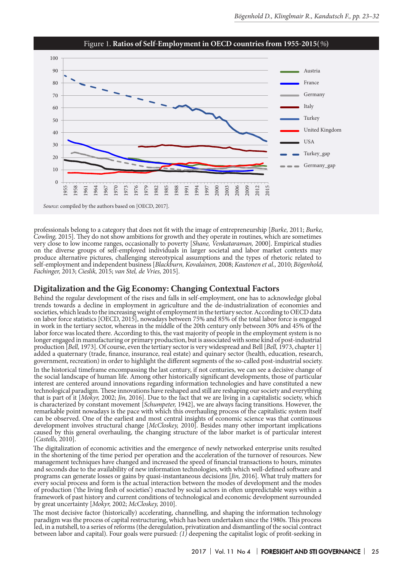

Figure 1. **Ratios of Self-Employment in OECD countries from 1955-2015(***%***)**

professionals belong to a category that does not fit with the image of entrepreneurship [*Burke,* 2011; *Burke, Cowling,* 2015]. They do not show ambitions for growth and they operate in routines, which are sometimes very close to low income ranges, occasionally to poverty [*Shane, Venkataraman,* 2000]. Empirical studies on the diverse groups of self-employed individuals in larger societal and labor market contexts may produce alternative pictures, challenging stereotypical assumptions and the types of rhetoric related to self-employment and independent business [*Blackburn, Kovalainen,* 2008; *Kautonen et al.,* 2010; *Bögenhold, Fachinger,* 2013; *Cieslik,* 2015; *van Stel, de Vries,* 2015].

#### **Digitalization and the Gig Economy: Changing Contextual Factors**

*Source*: compiled by the authors based on [OECD, 2017].

Behind the regular development of the rises and falls in self-employment, one has to acknowledge global trends towards a decline in employment in agriculture and the de-industrialization of economies and societies, which leads to the increasing weight of employment in the tertiary sector. According to OECD data on labor force statistics [OECD, 2015], nowadays between 75% and 85% of the total labor force is engaged in work in the tertiary sector, whereas in the middle of the 20th century only between 30% and 45% of the labor force was located there. According to this, the vast majority of people in the employment system is no longer engaged in manufacturing or primary production, but is associated with some kind of post-industrial production [*Bell,* 1973]. Of course, even the tertiary sector is very widespread and Bell [*Bell,* 1973, chapter 1] added a quaternary (trade, finance, insurance, real estate) and quinary sector (health, education, research, government, recreation) in order to highlight the different segments of the so-called post-industrial society.

In the historical timeframe encompassing the last century, if not centuries, we can see a decisive change of the social landscape of human life. Among other historically significant developments, those of particular interest are centered around innovations regarding information technologies and have constituted a new technological paradigm. These innovations have reshaped and still are reshaping our society and everything that is part of it [*Mokyr,* 2002; *Jin,* 2016]. Due to the fact that we are living in a capitalistic society, which is characterized by constant movement [*Schumpeter,* 1942], we are always facing transitions. However, the remarkable point nowadays is the pace with which this overhauling process of the capitalistic system itself can be observed. One of the earliest and most central insights of economic science was that continuous development involves structural change [*McCloskey,* 2010]. Besides many other important implications caused by this general overhauling, the changing structure of the labor market is of particular interest [*Castells,* 2010].

The digitalization of economic activities and the emergence of newly networked enterprise units resulted in the shortening of the time period per operation and the acceleration of the turnover of resources. New management techniques have changed and increased the speed of financial transactions to hours, minutes and seconds due to the availability of new information technologies, with which well-defined software and programs can generate losses or gains by quasi-instantaneous decisions [*Jin,* 2016]. What truly matters for every social process and form is the actual interaction between the modes of development and the modes of production ('the living flesh of societies') enacted by social actors in often unpredictable ways within a framework of past history and current conditions of technological and economic development surrounded by great uncertainty [*Mokyr,* 2002; *McCloskey,* 2010].

The most decisive factor (historically) accelerating, channelling, and shaping the information technology paradigm was the process of capital restructuring, which has been undertaken since the 1980s. This process led, in a nutshell, to a series of reforms (the deregulation, privatization and dismantling of the social contract between labor and capital). Four goals were pursued: *(1)* deepening the capitalist logic of profit-seeking in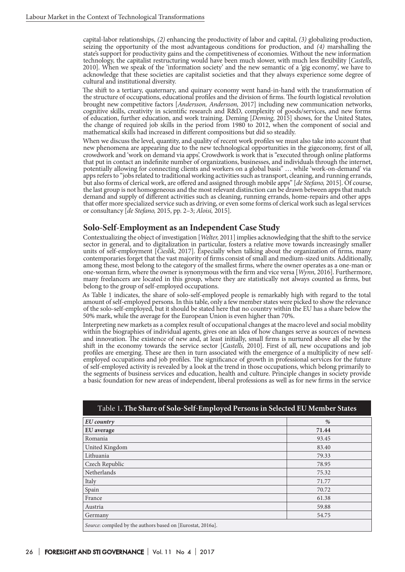capital-labor relationships, *(2)* enhancing the productivity of labor and capital, *(3)* globalizing production, seizing the opportunity of the most advantageous conditions for production, and *(4)* marshalling the state's support for productivity gains and the competitiveness of economies. Without the new information technology, the capitalist restructuring would have been much slower, with much less flexibility [*Castells,* 2010]. When we speak of the 'information society' and the new semantic of a 'gig economy', we have to acknowledge that these societies are capitalist societies and that they always experience some degree of cultural and institutional diversity.

The shift to a tertiary, quaternary, and quinary economy went hand-in-hand with the transformation of the structure of occupations, educational profiles and the division of firms. The fourth logistical revolution brought new competitive factors [*Andersson, Andersson,* 2017] including new communication networks, cognitive skills, creativity in scientific research and R&D, complexity of goods/services, and new forms of education, further education, and work training. Deming [*Deming,* 2015] shows, for the United States, the change of required job skills in the period from 1980 to 2012, when the component of social and mathematical skills had increased in different compositions but did so steadily.

When we discuss the level, quantity, and quality of recent work profiles we must also take into account that new phenomena are appearing due to the new technological opportunities in the gigeconomy, first of all, crowdwork and 'work on demand via apps'. Crowdwork is work that is "executed through online platforms that put in contact an indefinite number of organizations, businesses, and individuals through the internet, potentially allowing for connecting clients and workers on a global basis" … while 'work-on-demand' via apps refers to "jobs related to traditional working activities such as transport, cleaning, and running errands, but also forms of clerical work, are offered and assigned through mobile apps" [*de Stefano,* 2015]. Of course, the last group is not homogeneous and the most relevant distinction can be drawn between apps that match demand and supply of different activities such as cleaning, running errands, home-repairs and other apps that offer more specialized service such as driving, or even some forms of clerical work such as legal services or consultancy [*de Stefano,* 2015, pp. 2–3; *Aloisi,* 2015].

# **Solo-Self-Employment as an Independent Case Study**

Contextualizing the object of investigation [*Welter,* 2011] implies acknowledging that the shift to the service sector in general, and to digitalization in particular, fosters a relative move towards increasingly smaller units of self-employment [*Cieslik,* 2017]. Especially when talking about the organization of firms, many contemporaries forget that the vast majority of firms consist of small and medium-sized units. Additionally, among these, most belong to the category of the smallest firms, where the owner operates as a one-man or one-woman firm, where the owner is synonymous with the firm and vice versa [*Wynn,* 2016]. Furthermore, many freelancers are located in this group, where they are statistically not always counted as firms, but belong to the group of self-employed occupations.

As Table 1 indicates, the share of solo-self-employed people is remarkably high with regard to the total amount of self-employed persons. In this table, only a few member states were picked to show the relevance of the solo-self-employed, but it should be stated here that no country within the EU has a share below the 50% mark, while the average for the European Union is even higher than 70%.

Interpreting new markets as a complex result of occupational changes at the macro level and social mobility within the biographies of individual agents, gives one an idea of how changes serve as sources of newness and innovation. The existence of new and, at least initially, small firms is nurtured above all else by the shift in the economy towards the service sector [*Castells,* 2010]. First of all, new occupations and job profiles are emerging. These are then in turn associated with the emergence of a multiplicity of new selfemployed occupations and job profiles. The significance of growth in professional services for the future of self-employed activity is revealed by a look at the trend in those occupations, which belong primarily to the segments of business services and education, health and culture. Principle changes in society provide a basic foundation for new areas of independent, liberal professions as well as for new firms in the service

| <b>EU</b> country                                           | %     |
|-------------------------------------------------------------|-------|
| EU average                                                  | 71.44 |
| Romania                                                     | 93.45 |
| United Kingdom                                              | 83.40 |
| Lithuania                                                   | 79.33 |
| Czech Republic                                              | 78.95 |
| Netherlands                                                 | 75.32 |
| Italy                                                       | 71.77 |
| Spain                                                       | 70.72 |
| France                                                      | 61.38 |
| Austria                                                     | 59.88 |
| Germany                                                     | 54.75 |
| Source: compiled by the authors based on [Eurostat, 2016a]. |       |

#### Таble 1. **The Share of Solo-Self-Employed Persons in Selected EU Member States**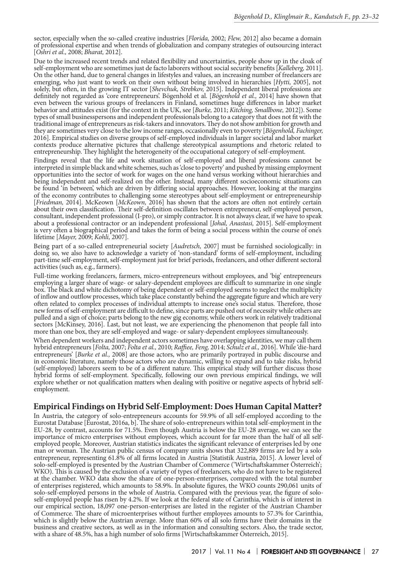sector, especially when the so-called creative industries [*Florida,* 2002; *Flew,* 2012] also became a domain of professional expertise and when trends of globalization and company strategies of outsourcing interact [*Oshri et al.,* 2008; *Bharat,* 2012].

Due to the increased recent trends and related flexibility and uncertainties, people show up in the cloak of self-employment who are sometimes just de facto laborers without social security benefits [*Kalleberg,* 2011]. On the other hand, due to general changes in lifestyles and values, an increasing number of freelancers are emerging, who just want to work on their own without being involved in hierarchies [*Hytti,* 2005], not solely, but often, in the growing IT sector [*Shevchuk, Strebkov,* 2015]. Independent liberal professions are definitely not regarded as 'core entrepreneurs'. Bögenhold et al. [*Bögenhold et al.,* 2014] have shown that even between the various groups of freelancers in Finland, sometimes huge differences in labor market behavior and attitudes exist (for the context in the UK, see [*Burke,* 2011; *Kitching, Smallbone,* 2012]). Some types of small businesspersons and independent professionals belong to a category that does not fit with the traditional image of entrepreneurs as risk-takers and innovators. They do not show ambition for growth and they are sometimes very close to the low income ranges, occasionally even to poverty [*Bögenhold, Fachinger,* 2016]. Empirical studies on diverse groups of self-employed individuals in larger societal and labor market contexts produce alternative pictures that challenge stereotypical assumptions and rhetoric related to entrepreneurship. They highlight the heterogeneity of the occupational category of self-employment.

Findings reveal that the life and work situation of self-employed and liberal professions cannot be interpreted in simple black and white schemes, such as 'close to poverty' and pushed by missing employment opportunities into the sector of work for wages on the one hand versus working without hierarchies and being independent and self-realized on the other. Instead, many different socioeconomic situations can be found 'in between', which are driven by differing social approaches. However, looking at the margins of the economy contributes to challenging some stereotypes about self-employment or entrepreneurship [*Friedman,* 2014]. McKeown [*McKeown,* 2016] has shown that the actors are often not entirely certain about their own classification. Their self-definition oscillates between entrepreneur, self-employed person, consultant, independent professional (I-pro), or simply contractor. It is not always clear, if we have to speak about a professional contractor or an independent professional [*Johal, Anastasi,* 2015]. Self-employment is very often a biographical period and takes the form of being a social process within the course of one's lifetime [*Mayer,* 2009; *Kohli,* 2007].

Being part of a so-called entrepreneurial society [*Audretsch,* 2007] must be furnished sociologically: in doing so, we also have to acknowledge a variety of 'non-standard' forms of self-employment, including part-time self-employment, self-employment just for brief periods, freelancers, and other different sectoral activities (such as, e.g., farmers).

Full-time working freelancers, farmers, micro-entrepreneurs without employees, and 'big' entrepreneurs employing a larger share of wage- or salary-dependent employees are difficult to summarize in one single box. The black and white dichotomy of being dependent or self-employed seems to neglect the multiplicity of inflow and outflow processes, which take place constantly behind the aggregate figure and which are very often related to complex processes of individual attempts to increase one's social status. Therefore, those new forms of self-employment are difficult to define, since parts are pushed out of necessity while others are pulled and a sign of choice; parts belong to the new gig economy, while others work in relatively traditional sectors [McKinsey, 2016]. Last, but not least, we are experiencing the phenomenon that people fall into more than one box, they are self-employed and wage- or salary-dependent employees simultaneously.

When dependent workers and independent actors sometimes have overlapping identities, we may call them hybrid entrepreneurs [*Folta,* 2007; *Folta et al.,* 2010; *Raffiee, Feng,* 2014; *Schulz et al.,* 2016]. While 'die-hard entrepreneurs' [*Burke et al.,* 2008] are those actors, who are primarily portrayed in public discourse and in economic literature, namely those actors who are dynamic, willing to expand and to take risks, hybrid (self-employed) laborers seem to be of a different nature. This empirical study will further discuss those hybrid forms of self-employment. Specifically, following our own previous empirical findings, we will explore whether or not qualification matters when dealing with positive or negative aspects of hybrid selfemployment.

### **Empirical Findings on Hybrid Self-Employment: Does Human Capital Matter?**

In Austria, the category of solo-entrepreneurs accounts for 59.9% of all self-employed according to the Eurostat Database [Eurostat, 2016a, b]. The share of solo-entrepreneurs within total self-employment in the EU-28, by contrast, accounts for 71.5%. Even though Austria is below the EU-28 average, we can see the importance of micro enterprises without employees, which account for far more than the half of all selfemployed people. Moreover, Austrian statistics indicates the significant relevance of enterprises led by one man or woman. The Austrian public census of company units shows that 322,889 firms are led by a solo entrepreneur, representing 61.8% of all firms located in Austria [Statistik Austria, 2015]. A lower level of solo-self-employed is presented by the Austrian Chamber of Commerce ('Wirtschaftskammer Österreich'; WKO). This is caused by the exclusion of a variety of types of freelancers, who do not have to be registered at the chamber. WKO data show the share of one-person-enterprises, compared with the total number of enterprises registered, which amounts to 58.9%. In absolute figures, the WKO counts 290,061 units of solo-self-employed persons in the whole of Austria. Compared with the previous year, the figure of soloself-employed people has risen by 4.2%. If we look at the federal state of Carinthia, which is of interest in our empirical section, 18,097 one-person-enterprises are listed in the register of the Austrian Chamber of Commerce. The share of microenterprises without further employees amounts to 57.3% for Carinthia, which is slightly below the Austrian average. More than 60% of all solo firms have their domains in the business and creative sectors, as well as in the information and consulting sectors. Also, the trade sector, with a share of 48.5%, has a high number of solo firms [Wirtschaftskammer Österreich, 2015].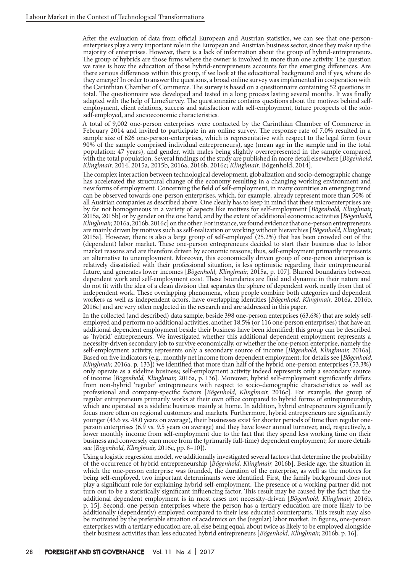After the evaluation of data from official European and Austrian statistics, we can see that one-personenterprises play a very important role in the European and Austrian business sector, since they make up the majority of enterprises. However, there is a lack of information about the group of hybrid-entrepreneurs. The group of hybrids are those firms where the owner is involved in more than one activity. The question we raise is how the education of those hybrid-entrepreneurs accounts for the emerging differences. Are there serious differences within this group, if we look at the educational background and if yes, where do they emerge? In order to answer the questions, a broad online survey was implemented in cooperation with the Carinthian Chamber of Commerce. The survey is based on a questionnaire containing 52 questions in total. The questionnaire was developed and tested in a long process lasting several months. It was finally adapted with the help of LimeSurvey. The questionnaire contains questions about the motives behind selfemployment, client relations, success and satisfaction with self-employment, future prospects of the soloself-employed, and socioeconomic characteristics.

A total of 9,002 one-person enterprises were contacted by the Carinthian Chamber of Commerce in February 2014 and invited to participate in an online survey. The response rate of 7.0% resulted in a sample size of 626 one-person-enterprises, which is representative with respect to the legal form (over 90% of the sample comprised individual entrepreneurs), age (mean age in the sample and in the total population: 47 years), and gender, with males being slightly overrepresented in the sample compared with the total population. Several findings of the study are published in more detail elsewhere [*Bögenhold, Klinglmair,* 2014, 2015a, 2015b, 2016a, 2016b, 2016c; *Klinglmair,* Bögenhold, 2014].

The complex interaction between technological development, globalization and socio-demographic change has accelerated the structural change of the economy resulting in a changing working environment and new forms of employment. Concerning the field of self-employment, in many countries an emerging trend can be observed towards one-person enterprises, which, for example, already represent more than 50% of all Austrian companies as described above. One clearly has to keep in mind that these microenterprises are by far not homogeneous in a variety of aspects like motives for self-employment [*Bögenhold, Klinglmair,* 2015a, 2015b] or by gender on the one hand, and by the extent of additional economic activities [*Bögenhold, Klinglmair,* 2016a, 2016b, 2016c] on the other. For instance, we found evidence that one-person entrepreneurs are mainly driven by motives such as self-realization or working without hierarchies [*Bögenhold, Klinglmair,* 2015a]. However, there is also a large group of self-employed (25.2%) that has been crowded out of the (dependent) labor market. These one-person entrepreneurs decided to start their business due to labor market reasons and are therefore driven by economic reasons; thus, self-employment primarily represents an alternative to unemployment. Moreover, this economically driven group of one-person enterprises is relatively dissatisfied with their professional situation, is less optimistic regarding their entrepreneurial future, and generates lower incomes [*Bögenhold, Klinglmair,* 2015a, p. 107]. Blurred boundaries between dependent work and self-employment exist. These boundaries are fluid and dynamic in their nature and do not fit with the idea of a clean division that separates the sphere of dependent work neatly from that of independent work. These overlapping phenomena, when people combine both categories and dependent workers as well as independent actors, have overlapping identities [*Bögenhold, Klinglmair,* 2016a, 2016b, 2016c] and are very often neglected in the research and are addressed in this paper.

In the collected (and described) data sample, beside 398 one-person enterprises (63.6%) that are solely selfemployed and perform no additional activities, another 18.5% (or 116 one-person enterprises) that have an additional dependent employment beside their business have been identified; this group can be described as 'hybrid' entrepreneurs. We investigated whether this additional dependent employment represents a necessity-driven secondary job to survive economically, or whether the one-person enterprise, namely the self-employment activity, represents only a secondary source of income [Bögenhold, Klinglmair, 2016a]. Based on five indicators (e.g., monthly net income from dependent employment; for details see [Bögenhold, Klinglmair, 2016a, p. 133]) we identified that more than half of the hybrid one-person enterprises (53.3%) only operate as a sideline business; self-employment activity indeed represents only a secondary source of income [*Bögenhold, Klinglmair,* 2016a, p. 136]. Moreover, hybrid self-employment significantly differs from non-hybrid 'regular' entrepreneurs with respect to socio-demographic characteristics as well as professional and company-specific factors [*Bögenhold, Klinglmair,* 2016c]. For example, the group of regular entrepreneurs primarily works at their own office compared to hybrid forms of entrepreneurship, which are operated as a sideline business mainly at home. In addition, hybrid entrepreneurs significantly focus more often on regional customers and markets. Furthermore, hybrid entrepreneurs are significantly younger (43.6 vs. 48.0 years on average), their businesses exist for shorter periods of time than regular oneperson enterprises (6.9 vs. 9.5 years on average) and they have lower annual turnover, and, respectively, a lower monthly income from self-employment due to the fact that they spend less working time on their business and conversely earn more from the (primarily full-time) dependent employment; for more details see [*Bögenhold, Klinglmair,* 2016c, pp. 8–10]).

Using a logistic regression model, we additionally investigated several factors that determine the probability of the occurrence of hybrid entrepreneurship [*Bögenhold, Klinglmair,* 2016b]. Beside age, the situation in which the one-person enterprise was founded, the duration of the enterprise, as well as the motives for being self-employed, two important determinants were identified. First, the family background does not play a significant role for explaining hybrid self-employment. The presence of a working partner did not turn out to be a statistically significant influencing factor. This result may be caused by the fact that the additional dependent employment is in most cases not necessity-driven [*Bögenhold, Klinglmair,* 2016b, p. 15]. Second, one-person enterprises where the person has a tertiary education are more likely to be additionally (dependently) employed compared to their less educated counterparts. This result may also be motivated by the preferable situation of academics on the (regular) labor market. In figures, one-person enterprises with a tertiary education are, all else being equal, about twice as likely to be employed alongside their business activities than less educated hybrid entrepreneurs [*Bögenhold, Klinglmair,* 2016b, p. 16].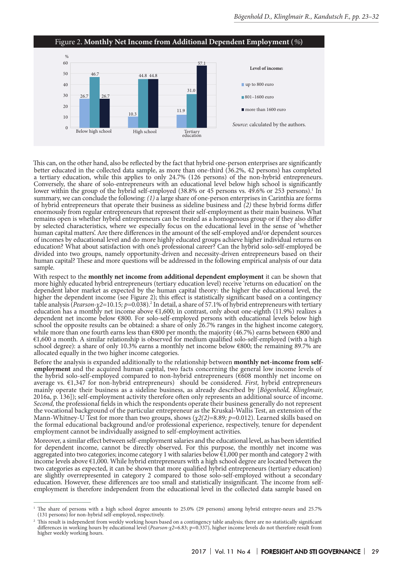

This can, on the other hand, also be reflected by the fact that hybrid one-person enterprises are significantly better educated in the collected data sample, as more than one-third (36.2%, 42 persons) has completed a tertiary education, while this applies to only 24.7% (126 persons) of the non-hybrid entrepreneurs. Conversely, the share of solo-entrepreneurs with an educational level below high school is significantly lower within the group of the hybrid self-employed (38.8% or 45 persons vs. 49.6% or 253 persons).<sup>1</sup> In summary, we can conclude the following: *(1)* a large share of one-person enterprises in Carinthia are forms of hybrid entrepreneurs that operate their business as sideline business and *(2)* these hybrid forms differ enormously from regular entrepreneurs that represent their self-employment as their main business. What remains open is whether hybrid entrepreneurs can be treated as a homogenous group or if they also differ by selected characteristics, where we especially focus on the educational level in the sense of 'whether human capital matters'. Are there differences in the amount of the self-employed and/or dependent sources of incomes by educational level and do more highly educated groups achieve higher individual returns on education? What about satisfaction with one's professional career? Can the hybrid solo-self-employed be divided into two groups, namely opportunity-driven and necessity-driven entrepreneurs based on their human capital? These and more questions will be addressed in the following empirical analysis of our data sample.

With respect to the **monthly net income from additional dependent employment** it can be shown that more highly educated hybrid entrepreneurs (tertiary education level) receive 'returns on education' on the dependent labor market as expected by the human capital theory: the higher the educational level, the higher the dependent income (see Figure 2); this effect is statistically significant based on a contingency table analysis (*Pearson-χ2=*10.15*; p=*0.038).2 In detail, a share of 57.1% of hybrid entrepreneurs with tertiary education has a monthly net income above €1,600; in contrast, only about one-eighth (11.9%) realizes a dependent net income below €800. For solo-self-employed persons with educational levels below high school the opposite results can be obtained: a share of only 26.7% ranges in the highest income category, while more than one fourth earns less than  $\epsilon$ 800 per month; the majority (46.7%) earns between  $\epsilon$ 800 and €1,600 a month. A similar relationship is observed for medium qualified solo-self-employed (with a high school degree): a share of only 10.3% earns a monthly net income below €800; the remaining 89.7% are allocated equally in the two higher income categories.

Before the analysis is expanded additionally to the relationship between **monthly net-income from selfemployment** and the acquired human capital, two facts concerning the general low income levels of the hybrid solo-self-employed compared to non-hybrid entrepreneurs (€608 monthly net income on average vs. €1,347 for non-hybrid entrepreneurs) should be considered. *First,* hybrid entrepreneurs mainly operate their business as a sideline business, as already described by [*Bögenhold, Klinglmair,* 2016a, p. 136]); self-employment activity therefore often only represents an additional source of income. *Second,* the professional fields in which the respondents operate their business generally do not represent the vocational background of the particular entrepreneur as the Kruskal-Wallis Test, an extension of the Mann-Whitney-U Test for more than two groups, shows (*χ2(2)=*8.89*; p=*0.012). Learned skills based on the formal educational background and/or professional experience, respectively, tenure for dependent employment cannot be individually assigned to self-employment activities.

Moreover, a similar effect between self-employment salaries and the educational level, as has been identified for dependent income, cannot be directly observed. For this purpose, the monthly net income was aggregated into two categories; income category 1 with salaries below €1,000 per month and category 2 with income levels above €1,000. While hybrid entrepreneurs with a high school degree are located between the two categories as expected, it can be shown that more qualified hybrid entrepreneurs (tertiary education) are slightly overrepresented in category 2 compared to those solo-self-employed without a secondary education. However, these differences are too small and statistically insignificant. The income from selfemployment is therefore independent from the educational level in the collected data sample based on

<sup>1</sup> The share of persons with a high school degree amounts to 25.0% (29 persons) among hybrid entrepre-neurs and 25.7% (131 persons) for non-hybrid self-employed, respectively.

<sup>&</sup>lt;sup>2</sup> This result is independent from weekly working hours based on a contingency table analysis; there are no statistically significant differences in working hours by educational level (*Pearson-* $\chi$ *2*=6.83; p=0.337), hig higher weekly working hours.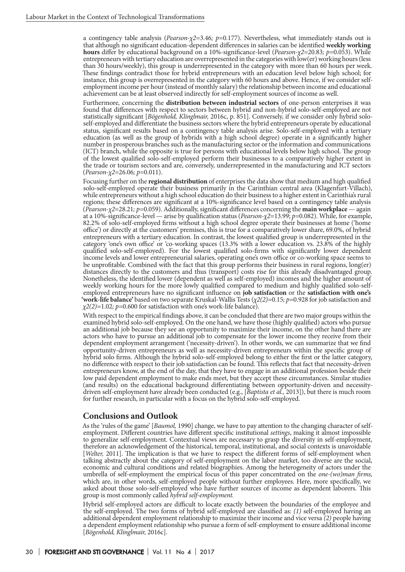a contingency table analysis (*Pearson-χ2=*3.46*; p=*0.177). Nevertheless, what immediately stands out is that although no significant education-dependent differences in salaries can be identified **weekly working hours** differ by educational background on a 10%-significance-level (*Pearson-χ2=*20.83*; p=*0.053). While entrepreneurs with tertiary education are overrepresented in the categories with low(er) working hours (less than 30 hours/weekly), this group is underrepresented in the category with more than 60 hours per week. These findings contradict those for hybrid entrepreneurs with an education level below high school; for instance, this group is overrepresented in the category with 60 hours and above. Hence, if we consider selfemployment income per hour (instead of monthly salary) the relationship between income and educational achievement can be at least observed indirectly for self-employment sources of income as well.

Furthermore, concerning the **distribution between industrial sectors** of one-person enterprises it was found that differences with respect to sectors between hybrid and non-hybrid solo-self-employed are not statistically significant [*Bögenhold, Klinglmair,* 2016c, p. 851]. Conversely, if we consider only hybrid soloself-employed and differentiate the business sectors where the hybrid entrepreneurs operate by educational status, significant results based on a contingency table analysis arise. Solo-self-employed with a tertiary education (as well as the group of hybrids with a high school degree) operate in a significantly higher number in prosperous branches such as the manufacturing sector or the information and communications (ICT) branch, while the opposite is true for persons with educational levels below high school. The group of the lowest qualified solo-self-employed perform their businesses to a comparatively higher extent in the trade or tourism sectors and are, conversely, underrepresented in the manufacturing and ICT sectors (*Pearson-χ2=*26.06*; p=*0.011).

Focusing further on the **regional distribution** of enterprises the data show that medium and high qualified solo-self-employed operate their business primarily in the Carinthian central area (Klagenfurt-Villach), while entrepreneurs without a high school education do their business to a higher extent in Carinthia's rural regions; these differences are significant at a 10%-significance level based on a contingency table analysis (*Pearson-χ2*=28.21*; p=*0.059). Additionally, significant differences concerning the **main workplace** — again at a 10%-significance-level — arise by qualification status (*Pearson-χ2=*13.99; *p=*0.082). While, for example, 82.2% of solo-self-employed firms without a high school degree operate their businesses at home ('home office') or directly at the customers' premises, this is true for a comparatively lower share, 69.0%, of hybrid entrepreneurs with a tertiary education. In contrast, the lowest qualified group is underrepresented in the category 'one's own office' or 'co-working spaces (13.3% with a lower education vs. 23.8% of the highly qualified solo-self-employed). For the lowest qualified solo-firms with significantly lower dependent income levels and lower entrepreneurial salaries, operating one's own office or co-working space seems to be unprofitable. Combined with the fact that this group performs their business in rural regions, long(er) distances directly to the customers and thus (transport) costs rise for this already disadvantaged group. Nonetheless, the identified lower (dependent as well as self-employed) incomes and the higher amount of weekly working hours for the more lowly qualified compared to medium and highly qualified solo-selfemployed entrepreneurs have no significant influence on **job satisfaction** or the **satisfaction with one's 'work-life balance'** based on two separate Kruskal-Wallis Tests (*χ2(2)=*0.15*; p=*0.928 for job satisfaction and *χ2(2)=*1.02*; p=*0.600 for satisfaction with one's work-life balance).

With respect to the empirical findings above, it can be concluded that there are two major groups within the examined hybrid solo-self-employed. On the one hand, we have those (highly qualified) actors who pursue an additional job because they see an opportunity to maximize their income, on the other hand there are actors who have to pursue an additional job to compensate for the lower income they receive from their dependent employment arrangement ('necessity-driven'). In other words, we can summarize that we find opportunity-driven entrepreneurs as well as necessity-driven entrepreneurs within the specific group of hybrid solo firms. Although the hybrid solo-self-employed belong to either the first or the latter category, no difference with respect to their job satisfaction can be found. This reflects that fact that necessity-driven entrepreneurs know, at the end of the day, that they have to engage in an additional profession beside their low paid dependent employment to make ends meet, but they accept these circumstances. Similar studies (and results) on the educational background differentiating between opportunity-driven and necessitydriven self-employment have already been conducted (e.g., [*Baptista et al.,* 2013]), but there is much room for further research, in particular with a focus on the hybrid solo-self-employed.

### **Conclusions and Outlook**

As the 'rules of the game' [*Baumol,* 1990] change, we have to pay attention to the changing character of selfemployment. Different countries have different specific institutional *settings*, making it almost impossible to generalize self-employment. Contextual views are necessary to grasp the diversity in self-employment, therefore an acknowledgement of the historical, temporal, institutional, and social contexts is unavoidable [*Welter,* 2011]. The implication is that we have to respect the different forms of self-employment when talking abstractly about the category of self-employment on the labor market, too diverse are the social, economic and cultural conditions and related biographies. Among the heterogeneity of actors under the umbrella of self-employment the empirical focus of this paper concentrated on the *one-(wo)man firms,* which are, in other words, self-employed people without further employees. Here, more specifically, we asked about those solo-self-employed who have further sources of income as dependent laborers. This group is most commonly called *hybrid self-employment.*

Hybrid self-employed actors are difficult to locate exactly between the boundaries of the employee and the self-employed. The two forms of hybrid self-employed are classified as: *(1)* self-employed having an additional dependent employment relationship to maximize their income and vice versa *(2)* people having a dependent employment relationship who pursue a form of self-employment to ensure additional income [*Bögenhold, Klinglmair,* 2016c].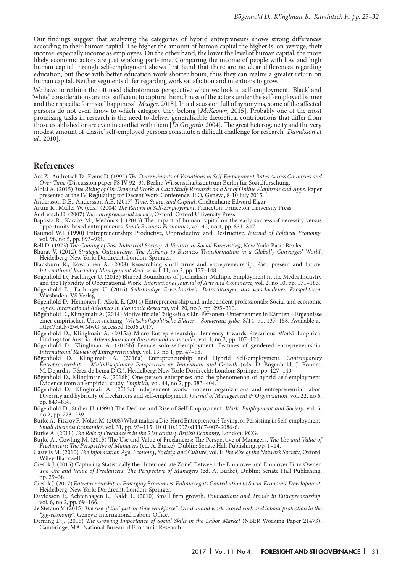Our findings suggest that analyzing the categories of hybrid entrepreneurs shows strong differences according to their human capital. The higher the amount of human capital the higher is, on average, their income, especially income as employees. On the other hand, the lower the level of human capital, the more likely economic actors are just working part-time. Comparing the income of people with low and high human capital through self-employment shows first hand that there are no clear differences regarding education, but those with better education work shorter hours, thus they can realize a greater return on human capital. Neither segments differ regarding work satisfaction and intentions to grow.

We have to rethink the oft used dichotomous perspective when we look at self-employment. 'Black' and 'white' considerations are not sufficient to capture the richness of the actors under the self-employed banner and their specific forms of 'happiness' [*Meager,* 2015]. In a discussion full of synonyms, some of the affected persons do not even know to which category they belong [*McKeown,* 2015]. Probably one of the most promising tasks in research is the need to deliver generalizable theoretical contributions that differ from those established or are even in conflict with them [*Di Gregorio,* 2004]. The great heterogeneity and the very modest amount of 'classic' self-employed persons constitute a difficult challenge for research [*Davidsson et al.,* 2010].

#### **References**

- Acs Z., Audretsch D., Evans D. (1992) *The Determinants of Variations in Self-Employment Rates Across Countries and Over Time* (Discussion paper FS IV 92–3), Berlin: Wissenschaftszentrum Berlin für Sozialforschung.
- Aloisi A. (2015) *The Rising of On-Demand Work: A Case Study Research on a Set of Online Platforms and Apps*. Paper presented at the IV Regulating for Decent Work Conference, ILO, Geneva, 8-10 July 2015.
- Andersson D.E., Andersson Å.E. (2017) *Time, Space, and Capital*, Cheltenham: Edward Elgar.
- Arum R., Müller W. (eds.) (2004) *The Return of Self-Employment*, Princeton: Princeton University Press.
- Audretsch D. (2007) *The entrepreneurial society*, Oxford: Oxford University Press.

Baptista R., Karaöz M., Medoncs J. (2013) The impact of human capital on the early success of necessity versus opportunity-based entrepreneurs. *Small Business Economics*, vol. 42, no 4, pp. 831–847.

Baumol W.J. (1990) Entrepreneurship: Productive, Unproductive and Destructive. *Journal of Political Economy*, vol. 98, no 5, pp. 893–921.

Bell D. (1973) *The Coming of Post-Industrial Society*. *A Venture in Social Forecasting*, New York: Basic Books.

Bharat V. (2012) *Strategic Outsourcing. The Alchemy to Business Transformation in a Globally Converged World*, Heidelberg; New York; Dordrecht; London: Springer.

- Blackburn R., Kovalainen A. (2008) Researching small firms and entrepreneurship: Past, present and future. *International Journal of Management Review,* vol. 11, no 2, pp. 127–148.
- Bögenhold D., Fachinger U. (2013) Blurred Boundaries of Journalism: Multiple Employment in the Media Industry and the Hybridity of Occupational Work. *International Journal of Arts and Commerce,* vol. 2, no 10, pp. 171–183.
- Bögenhold D., Fachinger U. (2016) *Selbständige Erwerbsarbeit: Betrachtungen aus verschiedenen Perspektiven,*  Wiesbaden: VS Verlag.
- Bögenhold D., Heinonen J., Akola E. (2014) Entrepreneurship and independent professionals: Social and economic logics. *International Advances in Economic Research*, vol. 20, no 3, pp. 295–310.
- Bögenhold D., Klinglmair A. (2014) Motive für die Tätigkeit als Ein-Personen-Unternehmen in Kärnten Ergebnisse einer empirischen Untersuchung. *Wirtschaftspolitische Blätter – Sonderaus-gabe,* S/14, pp. 137–158. Available at: http://bit.ly/2wtWMwG, accessed 15.06.2017.
- Bögenhold D., Klinglmair A. (2015a) Micro-Entrepreneurship: Tendency towards Precarious Work? Empirical Findings for Austria. *Athens Journal of Business and Economics,* vol. 1, no 2, pp. 107–122.
- Bögenhold D., Klinglmair A. (2015b) Female solo-self-employment. Features of gendered entrepreneurship. *International Review of Entrepreneurship,* vol. 13, no 1, pp. 47–58.
- Bögenhold D., Klinglmair A. (2016a) Entrepreneurship and Hybrid Self-employment. *Contemporary Entrepreneurship – Multidisciplinary Perspectives on Innovation and Growth* (eds. D. Bögenhold, J. Bonnet, M. Dejardin, Pérez de Lema D.G.), Heidelberg; New York; Dordrecht; London: Springer, pp. 127–140.
- Bögenhold D., Klinglmair A. (2016b) One-person enterprises and the phenomenon of hybrid self-employment: Evidence from an empirical study. *Empirica,* vol. 44, no 2, pp. 383–404.
- Bögenhold D., Klinglmair A. (2016c) Independent work, modern organizations and entrepreneurial labor: Diversity and hybridity of freelancers and self-employment. *Journal of Management & Organization,* vol. 22, no 6, pp. 843–858.
- Bögenhold D., Staber U. (1991) The Decline and Rise of Self-Employment. *Work, Employment and Society*, vol. 5, no 2, pp. 223–239.
- Burke A., Fitzroy F., Nolan M. (2008) What makes a Die-Hard Entrepreneur? Trying, or Persisting in Self-employment. *Small Business Economics*, vol. 31, pp. 93–115. DOI 10.1007/s11187-007-9086-6.

Burke A. (2011) *The Role of Freelancers in the 21st century British Economy*, London: PCG.

- Burke A., Cowling M. (2015) The Use and Value of Freelancers: The Perspective of Managers. *The Use and Value of Freelancers: The Perspective of Managers* (ed. A. Burke), Dublin: Senate Hall Publishing, pp. 1–14.
- Castells M. (2010) *The Information Age. Economy, Society, and Culture*, vol. I: *The Rise of the Network Society*, Oxford: Wiley-Blackwell.
- Cieslik J. (2015) Capturing Statistically the "Intermediate Zone" Between the Employee and Employer Firm Owner. *The Use and Value of Freelancers: The Perspective of Managers* (ed. A. Burke), Dublin: Senate Hall Publishing, pp. 29–38.
- Cieslik J. (2017) *Entrepreneurship in Emerging Economies. Enhancing its Contribution to Socio-Economic Development*, Heidelberg; New York; Dordrecht; London: Springer.
- Davidsson P., Achtenhagen L., Naldi L. (2010) Small firm growth. *Foundations and Trends in Entrepreneurship*, vol. 6, no 2, pp. 69–166.
- de Stefano V. (2015) *The rise of the "just-in-time workforce": On-demand work, crowdwork and labour protection in the "gig-economy"*, Geneva: International Labour Office.
- Deming D.J. (2015) *The Growing Importance of Social Skills in the Labor Market* (NBER Working Paper 21473), Cambridge, MA: National Bureau of Economic Research.